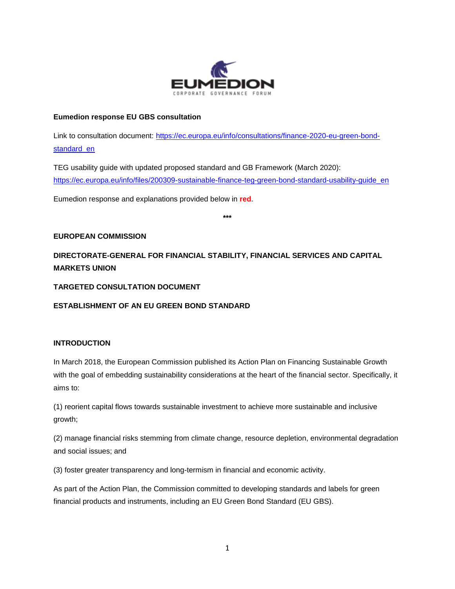

## **Eumedion response EU GBS consultation**

Link to consultation document: [https://ec.europa.eu/info/consultations/finance-2020-eu-green-bond](https://ec.europa.eu/info/consultations/finance-2020-eu-green-bond-standard_en)standard en

TEG usability guide with updated proposed standard and GB Framework (March 2020): [https://ec.europa.eu/info/files/200309-sustainable-finance-teg-green-bond-standard-usability-guide\\_en](https://ec.europa.eu/info/files/200309-sustainable-finance-teg-green-bond-standard-usability-guide_en)

Eumedion response and explanations provided below in **red**.

**\*\*\***

# **EUROPEAN COMMISSION**

**DIRECTORATE-GENERAL FOR FINANCIAL STABILITY, FINANCIAL SERVICES AND CAPITAL MARKETS UNION**

# **TARGETED CONSULTATION DOCUMENT**

# **ESTABLISHMENT OF AN EU GREEN BOND STANDARD**

# **INTRODUCTION**

In March 2018, the European Commission published its Action Plan on Financing Sustainable Growth with the goal of embedding sustainability considerations at the heart of the financial sector. Specifically, it aims to:

(1) reorient capital flows towards sustainable investment to achieve more sustainable and inclusive growth;

(2) manage financial risks stemming from climate change, resource depletion, environmental degradation and social issues; and

(3) foster greater transparency and long-termism in financial and economic activity.

As part of the Action Plan, the Commission committed to developing standards and labels for green financial products and instruments, including an EU Green Bond Standard (EU GBS).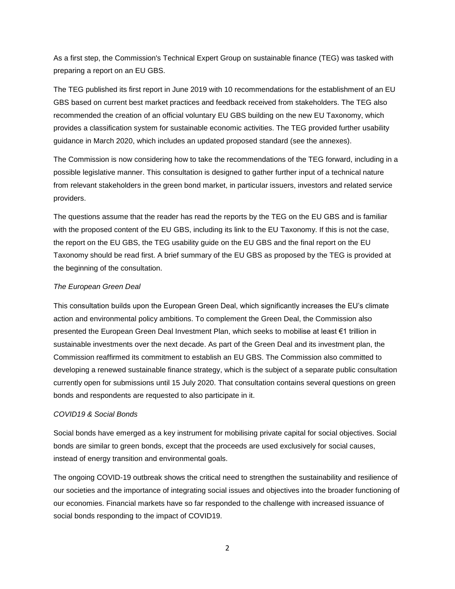As a first step, the Commission's Technical Expert Group on sustainable finance (TEG) was tasked with preparing a report on an EU GBS.

The TEG published its first report in June 2019 with 10 recommendations for the establishment of an EU GBS based on current best market practices and feedback received from stakeholders. The TEG also recommended the creation of an official voluntary EU GBS building on the new EU Taxonomy, which provides a classification system for sustainable economic activities. The TEG provided further usability guidance in March 2020, which includes an updated proposed standard (see the annexes).

The Commission is now considering how to take the recommendations of the TEG forward, including in a possible legislative manner. This consultation is designed to gather further input of a technical nature from relevant stakeholders in the green bond market, in particular issuers, investors and related service providers.

The questions assume that the reader has read the reports by the TEG on the EU GBS and is familiar with the proposed content of the EU GBS, including its link to the EU Taxonomy. If this is not the case, the report on the EU GBS, the TEG usability guide on the EU GBS and the final report on the EU Taxonomy should be read first. A brief summary of the EU GBS as proposed by the TEG is provided at the beginning of the consultation.

## *The European Green Deal*

This consultation builds upon the European Green Deal, which significantly increases the EU's climate action and environmental policy ambitions. To complement the Green Deal, the Commission also presented the European Green Deal Investment Plan, which seeks to mobilise at least €1 trillion in sustainable investments over the next decade. As part of the Green Deal and its investment plan, the Commission reaffirmed its commitment to establish an EU GBS. The Commission also committed to developing a renewed sustainable finance strategy, which is the subject of a separate public consultation currently open for submissions until 15 July 2020. That consultation contains several questions on green bonds and respondents are requested to also participate in it.

## *COVID19 & Social Bonds*

Social bonds have emerged as a key instrument for mobilising private capital for social objectives. Social bonds are similar to green bonds, except that the proceeds are used exclusively for social causes, instead of energy transition and environmental goals.

The ongoing COVID-19 outbreak shows the critical need to strengthen the sustainability and resilience of our societies and the importance of integrating social issues and objectives into the broader functioning of our economies. Financial markets have so far responded to the challenge with increased issuance of social bonds responding to the impact of COVID19.

2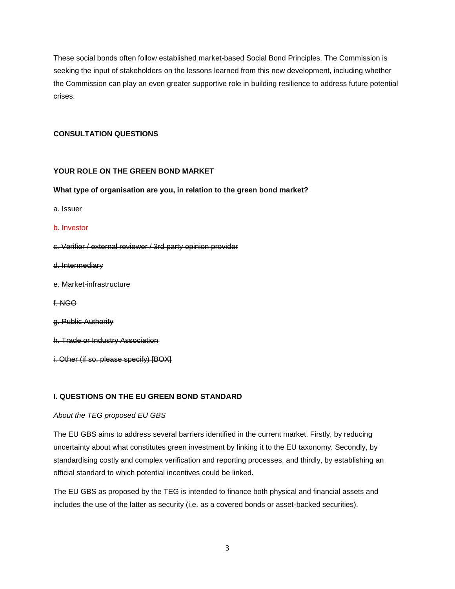These social bonds often follow established market-based Social Bond Principles. The Commission is seeking the input of stakeholders on the lessons learned from this new development, including whether the Commission can play an even greater supportive role in building resilience to address future potential crises.

## **CONSULTATION QUESTIONS**

## **YOUR ROLE ON THE GREEN BOND MARKET**

## **What type of organisation are you, in relation to the green bond market?**

a. Issuer

### b. Investor

- c. Verifier / external reviewer / 3rd party opinion provider
- d. Intermediary
- e. Market-infrastructure
- f. NGO
- g. Public Authority
- h. Trade or Industry Association
- i. Other (if so, please specify) [BOX]

# **I. QUESTIONS ON THE EU GREEN BOND STANDARD**

## *About the TEG proposed EU GBS*

The EU GBS aims to address several barriers identified in the current market. Firstly, by reducing uncertainty about what constitutes green investment by linking it to the EU taxonomy. Secondly, by standardising costly and complex verification and reporting processes, and thirdly, by establishing an official standard to which potential incentives could be linked.

The EU GBS as proposed by the TEG is intended to finance both physical and financial assets and includes the use of the latter as security (i.e. as a covered bonds or asset-backed securities).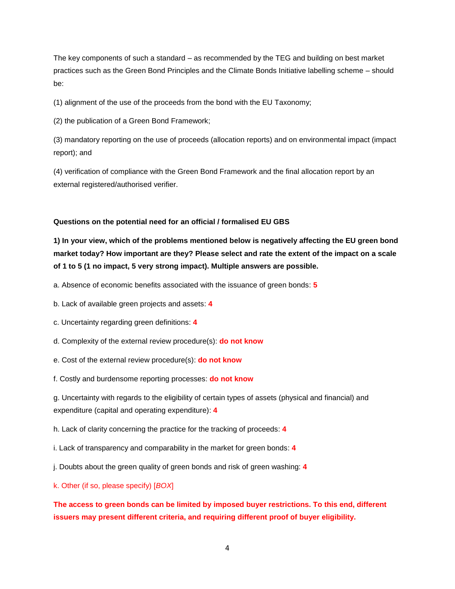The key components of such a standard – as recommended by the TEG and building on best market practices such as the Green Bond Principles and the Climate Bonds Initiative labelling scheme – should be:

(1) alignment of the use of the proceeds from the bond with the EU Taxonomy;

(2) the publication of a Green Bond Framework;

(3) mandatory reporting on the use of proceeds (allocation reports) and on environmental impact (impact report); and

(4) verification of compliance with the Green Bond Framework and the final allocation report by an external registered/authorised verifier.

## **Questions on the potential need for an official / formalised EU GBS**

**1) In your view, which of the problems mentioned below is negatively affecting the EU green bond market today? How important are they? Please select and rate the extent of the impact on a scale of 1 to 5 (1 no impact, 5 very strong impact). Multiple answers are possible.**

a. Absence of economic benefits associated with the issuance of green bonds: **5**

- b. Lack of available green projects and assets: **4**
- c. Uncertainty regarding green definitions: **4**
- d. Complexity of the external review procedure(s): **do not know**
- e. Cost of the external review procedure(s): **do not know**
- f. Costly and burdensome reporting processes: **do not know**

g. Uncertainty with regards to the eligibility of certain types of assets (physical and financial) and expenditure (capital and operating expenditure): **4**

h. Lack of clarity concerning the practice for the tracking of proceeds: **4**

i. Lack of transparency and comparability in the market for green bonds: **4**

j. Doubts about the green quality of green bonds and risk of green washing: **4**

k. Other (if so, please specify) [*BOX*]

**The access to green bonds can be limited by imposed buyer restrictions. To this end, different issuers may present different criteria, and requiring different proof of buyer eligibility.**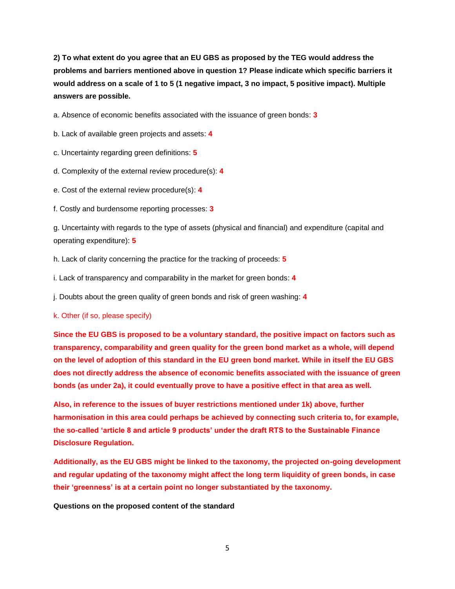**2) To what extent do you agree that an EU GBS as proposed by the TEG would address the problems and barriers mentioned above in question 1? Please indicate which specific barriers it would address on a scale of 1 to 5 (1 negative impact, 3 no impact, 5 positive impact). Multiple answers are possible.**

a. Absence of economic benefits associated with the issuance of green bonds: **3**

b. Lack of available green projects and assets: **4**

c. Uncertainty regarding green definitions: **5**

d. Complexity of the external review procedure(s): **4**

e. Cost of the external review procedure(s): **4** 

f. Costly and burdensome reporting processes: **3**

g. Uncertainty with regards to the type of assets (physical and financial) and expenditure (capital and operating expenditure): **5**

h. Lack of clarity concerning the practice for the tracking of proceeds: **5**

i. Lack of transparency and comparability in the market for green bonds: **4**

j. Doubts about the green quality of green bonds and risk of green washing: **4**

k. Other (if so, please specify)

**Since the EU GBS is proposed to be a voluntary standard, the positive impact on factors such as transparency, comparability and green quality for the green bond market as a whole, will depend on the level of adoption of this standard in the EU green bond market. While in itself the EU GBS does not directly address the absence of economic benefits associated with the issuance of green bonds (as under 2a), it could eventually prove to have a positive effect in that area as well.**

**Also, in reference to the issues of buyer restrictions mentioned under 1k) above, further harmonisation in this area could perhaps be achieved by connecting such criteria to, for example, the so-called 'article 8 and article 9 products' under the draft RTS to the Sustainable Finance Disclosure Regulation.**

**Additionally, as the EU GBS might be linked to the taxonomy, the projected on-going development and regular updating of the taxonomy might affect the long term liquidity of green bonds, in case their 'greenness' is at a certain point no longer substantiated by the taxonomy.**

**Questions on the proposed content of the standard**

5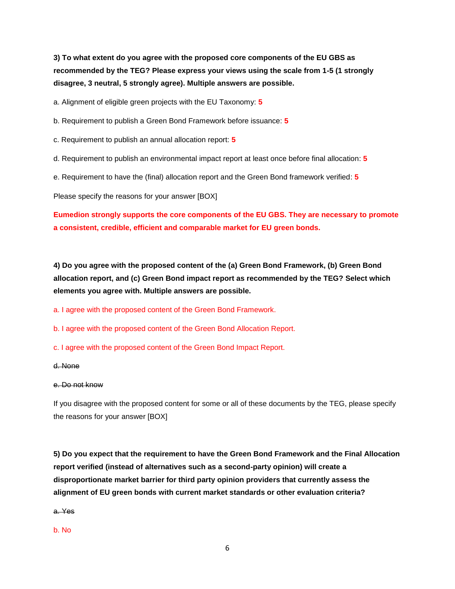**3) To what extent do you agree with the proposed core components of the EU GBS as recommended by the TEG? Please express your views using the scale from 1-5 (1 strongly disagree, 3 neutral, 5 strongly agree). Multiple answers are possible.**

a. Alignment of eligible green projects with the EU Taxonomy: **5**

b. Requirement to publish a Green Bond Framework before issuance: **5**

- c. Requirement to publish an annual allocation report: **5**
- d. Requirement to publish an environmental impact report at least once before final allocation: **5**
- e. Requirement to have the (final) allocation report and the Green Bond framework verified: **5**

Please specify the reasons for your answer [BOX]

**Eumedion strongly supports the core components of the EU GBS. They are necessary to promote a consistent, credible, efficient and comparable market for EU green bonds.**

**4) Do you agree with the proposed content of the (a) Green Bond Framework, (b) Green Bond allocation report, and (c) Green Bond impact report as recommended by the TEG? Select which elements you agree with. Multiple answers are possible.**

a. I agree with the proposed content of the Green Bond Framework.

- b. I agree with the proposed content of the Green Bond Allocation Report.
- c. I agree with the proposed content of the Green Bond Impact Report.

#### d. None

### e. Do not know

If you disagree with the proposed content for some or all of these documents by the TEG, please specify the reasons for your answer [BOX]

**5) Do you expect that the requirement to have the Green Bond Framework and the Final Allocation report verified (instead of alternatives such as a second-party opinion) will create a disproportionate market barrier for third party opinion providers that currently assess the alignment of EU green bonds with current market standards or other evaluation criteria?**

a. Yes

#### b. No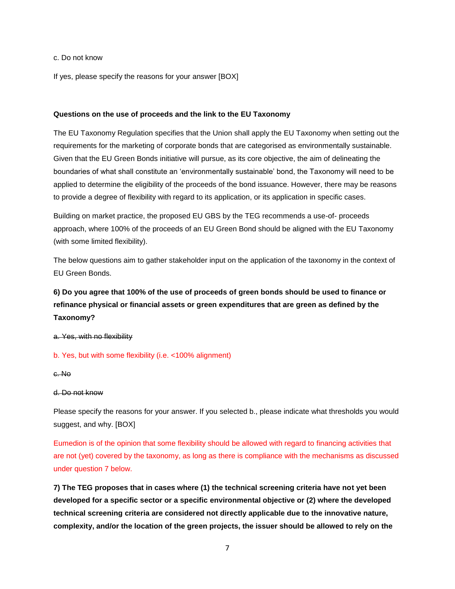## c. Do not know

If yes, please specify the reasons for your answer [BOX]

#### **Questions on the use of proceeds and the link to the EU Taxonomy**

The EU Taxonomy Regulation specifies that the Union shall apply the EU Taxonomy when setting out the requirements for the marketing of corporate bonds that are categorised as environmentally sustainable. Given that the EU Green Bonds initiative will pursue, as its core objective, the aim of delineating the boundaries of what shall constitute an 'environmentally sustainable' bond, the Taxonomy will need to be applied to determine the eligibility of the proceeds of the bond issuance. However, there may be reasons to provide a degree of flexibility with regard to its application, or its application in specific cases.

Building on market practice, the proposed EU GBS by the TEG recommends a use-of- proceeds approach, where 100% of the proceeds of an EU Green Bond should be aligned with the EU Taxonomy (with some limited flexibility).

The below questions aim to gather stakeholder input on the application of the taxonomy in the context of EU Green Bonds.

# **6) Do you agree that 100% of the use of proceeds of green bonds should be used to finance or refinance physical or financial assets or green expenditures that are green as defined by the Taxonomy?**

a. Yes, with no flexibility

b. Yes, but with some flexibility (i.e. <100% alignment)

c. No

#### d. Do not know

Please specify the reasons for your answer. If you selected b., please indicate what thresholds you would suggest, and why. [BOX]

Eumedion is of the opinion that some flexibility should be allowed with regard to financing activities that are not (yet) covered by the taxonomy, as long as there is compliance with the mechanisms as discussed under question 7 below.

**7) The TEG proposes that in cases where (1) the technical screening criteria have not yet been developed for a specific sector or a specific environmental objective or (2) where the developed technical screening criteria are considered not directly applicable due to the innovative nature, complexity, and/or the location of the green projects, the issuer should be allowed to rely on the**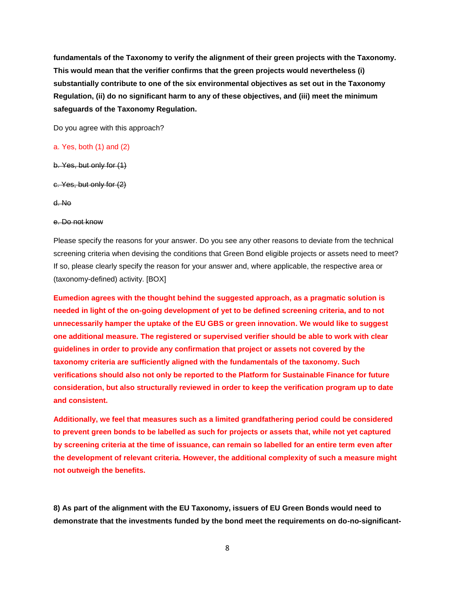**fundamentals of the Taxonomy to verify the alignment of their green projects with the Taxonomy. This would mean that the verifier confirms that the green projects would nevertheless (i) substantially contribute to one of the six environmental objectives as set out in the Taxonomy Regulation, (ii) do no significant harm to any of these objectives, and (iii) meet the minimum safeguards of the Taxonomy Regulation.**

Do you agree with this approach?

## a. Yes, both (1) and (2)

b. Yes, but only for (1)

c. Yes, but only for (2)

d. No

#### e. Do not know

Please specify the reasons for your answer. Do you see any other reasons to deviate from the technical screening criteria when devising the conditions that Green Bond eligible projects or assets need to meet? If so, please clearly specify the reason for your answer and, where applicable, the respective area or (taxonomy-defined) activity. [BOX]

**Eumedion agrees with the thought behind the suggested approach, as a pragmatic solution is needed in light of the on-going development of yet to be defined screening criteria, and to not unnecessarily hamper the uptake of the EU GBS or green innovation. We would like to suggest one additional measure. The registered or supervised verifier should be able to work with clear guidelines in order to provide any confirmation that project or assets not covered by the taxonomy criteria are sufficiently aligned with the fundamentals of the taxonomy. Such verifications should also not only be reported to the Platform for Sustainable Finance for future consideration, but also structurally reviewed in order to keep the verification program up to date and consistent.** 

**Additionally, we feel that measures such as a limited grandfathering period could be considered to prevent green bonds to be labelled as such for projects or assets that, while not yet captured by screening criteria at the time of issuance, can remain so labelled for an entire term even after the development of relevant criteria. However, the additional complexity of such a measure might not outweigh the benefits.**

**8) As part of the alignment with the EU Taxonomy, issuers of EU Green Bonds would need to demonstrate that the investments funded by the bond meet the requirements on do-no-significant-**

8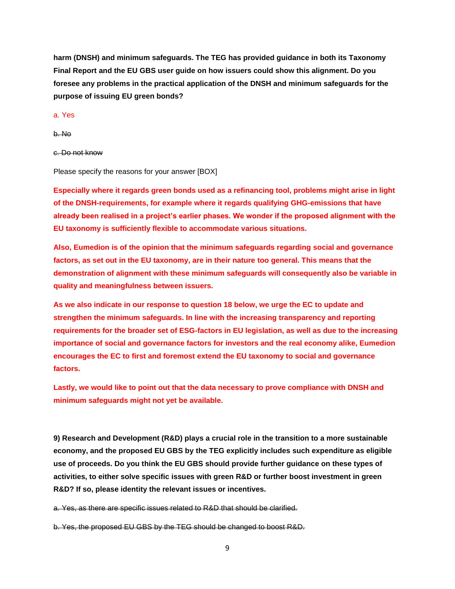**harm (DNSH) and minimum safeguards. The TEG has provided guidance in both its Taxonomy Final Report and the EU GBS user guide on how issuers could show this alignment. Do you foresee any problems in the practical application of the DNSH and minimum safeguards for the purpose of issuing EU green bonds?**

a. Yes

b. No

c. Do not know

Please specify the reasons for your answer [BOX]

**Especially where it regards green bonds used as a refinancing tool, problems might arise in light of the DNSH-requirements, for example where it regards qualifying GHG-emissions that have already been realised in a project's earlier phases. We wonder if the proposed alignment with the EU taxonomy is sufficiently flexible to accommodate various situations.**

**Also, Eumedion is of the opinion that the minimum safeguards regarding social and governance factors, as set out in the EU taxonomy, are in their nature too general. This means that the demonstration of alignment with these minimum safeguards will consequently also be variable in quality and meaningfulness between issuers.** 

**As we also indicate in our response to question 18 below, we urge the EC to update and strengthen the minimum safeguards. In line with the increasing transparency and reporting requirements for the broader set of ESG-factors in EU legislation, as well as due to the increasing importance of social and governance factors for investors and the real economy alike, Eumedion encourages the EC to first and foremost extend the EU taxonomy to social and governance factors.**

**Lastly, we would like to point out that the data necessary to prove compliance with DNSH and minimum safeguards might not yet be available.**

**9) Research and Development (R&D) plays a crucial role in the transition to a more sustainable economy, and the proposed EU GBS by the TEG explicitly includes such expenditure as eligible use of proceeds. Do you think the EU GBS should provide further guidance on these types of activities, to either solve specific issues with green R&D or further boost investment in green R&D? If so, please identity the relevant issues or incentives.**

a. Yes, as there are specific issues related to R&D that should be clarified.

b. Yes, the proposed EU GBS by the TEG should be changed to boost R&D.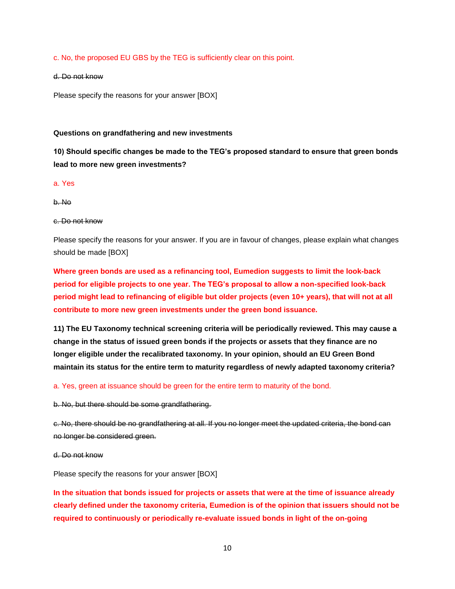c. No, the proposed EU GBS by the TEG is sufficiently clear on this point.

#### d. Do not know

Please specify the reasons for your answer [BOX]

## **Questions on grandfathering and new investments**

**10) Should specific changes be made to the TEG's proposed standard to ensure that green bonds lead to more new green investments?**

a. Yes

b. No

### c. Do not know

Please specify the reasons for your answer. If you are in favour of changes, please explain what changes should be made [BOX]

**Where green bonds are used as a refinancing tool, Eumedion suggests to limit the look-back period for eligible projects to one year. The TEG's proposal to allow a non-specified look-back period might lead to refinancing of eligible but older projects (even 10+ years), that will not at all contribute to more new green investments under the green bond issuance.**

**11) The EU Taxonomy technical screening criteria will be periodically reviewed. This may cause a change in the status of issued green bonds if the projects or assets that they finance are no longer eligible under the recalibrated taxonomy. In your opinion, should an EU Green Bond maintain its status for the entire term to maturity regardless of newly adapted taxonomy criteria?**

a. Yes, green at issuance should be green for the entire term to maturity of the bond.

b. No, but there should be some grandfathering.

c. No, there should be no grandfathering at all. If you no longer meet the updated criteria, the bond can no longer be considered green.

d. Do not know

Please specify the reasons for your answer [BOX]

**In the situation that bonds issued for projects or assets that were at the time of issuance already clearly defined under the taxonomy criteria, Eumedion is of the opinion that issuers should not be required to continuously or periodically re-evaluate issued bonds in light of the on-going**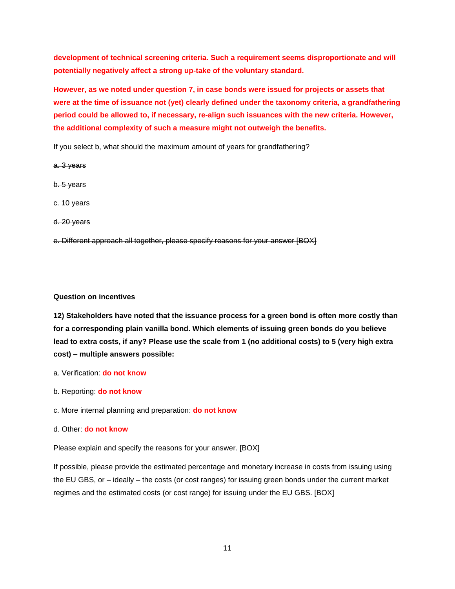**development of technical screening criteria. Such a requirement seems disproportionate and will potentially negatively affect a strong up-take of the voluntary standard.**

**However, as we noted under question 7, in case bonds were issued for projects or assets that were at the time of issuance not (yet) clearly defined under the taxonomy criteria, a grandfathering period could be allowed to, if necessary, re-align such issuances with the new criteria. However, the additional complexity of such a measure might not outweigh the benefits.**

If you select b, what should the maximum amount of years for grandfathering?

a. 3 years

b. 5 years

c. 10 years

d. 20 years

e. Different approach all together, please specify reasons for your answer [BOX]

# **Question on incentives**

**12) Stakeholders have noted that the issuance process for a green bond is often more costly than for a corresponding plain vanilla bond. Which elements of issuing green bonds do you believe lead to extra costs, if any? Please use the scale from 1 (no additional costs) to 5 (very high extra cost) – multiple answers possible:**

- a. Verification: **do not know**
- b. Reporting: **do not know**
- c. More internal planning and preparation: **do not know**
- d. Other: **do not know**

Please explain and specify the reasons for your answer. [BOX]

If possible, please provide the estimated percentage and monetary increase in costs from issuing using the EU GBS, or – ideally – the costs (or cost ranges) for issuing green bonds under the current market regimes and the estimated costs (or cost range) for issuing under the EU GBS. [BOX]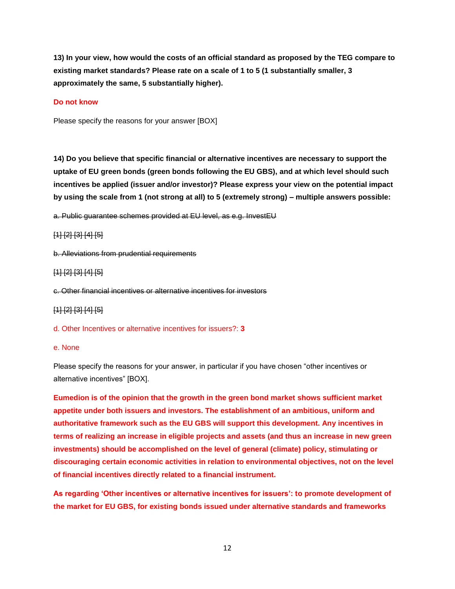**13) In your view, how would the costs of an official standard as proposed by the TEG compare to existing market standards? Please rate on a scale of 1 to 5 (1 substantially smaller, 3 approximately the same, 5 substantially higher).**

## **Do not know**

Please specify the reasons for your answer [BOX]

**14) Do you believe that specific financial or alternative incentives are necessary to support the uptake of EU green bonds (green bonds following the EU GBS), and at which level should such incentives be applied (issuer and/or investor)? Please express your view on the potential impact by using the scale from 1 (not strong at all) to 5 (extremely strong) – multiple answers possible:**

a. Public guarantee schemes provided at EU level, as e.g. InvestEU

## [1] [2] [3] [4] [5]

b. Alleviations from prudential requirements

#### [1] [2] [3] [4] [5]

c. Other financial incentives or alternative incentives for investors

[1] [2] [3] [4] [5]

d. Other Incentives or alternative incentives for issuers?: **3**

### e. None

Please specify the reasons for your answer, in particular if you have chosen "other incentives or alternative incentives" [BOX].

**Eumedion is of the opinion that the growth in the green bond market shows sufficient market appetite under both issuers and investors. The establishment of an ambitious, uniform and authoritative framework such as the EU GBS will support this development. Any incentives in terms of realizing an increase in eligible projects and assets (and thus an increase in new green investments) should be accomplished on the level of general (climate) policy, stimulating or discouraging certain economic activities in relation to environmental objectives, not on the level of financial incentives directly related to a financial instrument.**

**As regarding 'Other incentives or alternative incentives for issuers': to promote development of the market for EU GBS, for existing bonds issued under alternative standards and frameworks**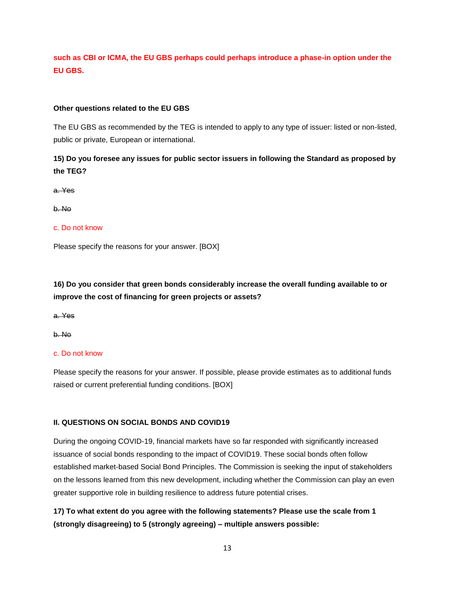# **such as CBI or ICMA, the EU GBS perhaps could perhaps introduce a phase-in option under the EU GBS.**

# **Other questions related to the EU GBS**

The EU GBS as recommended by the TEG is intended to apply to any type of issuer: listed or non-listed, public or private, European or international.

# **15) Do you foresee any issues for public sector issuers in following the Standard as proposed by the TEG?**

a. Yes

b. No

## c. Do not know

Please specify the reasons for your answer. [BOX]

# **16) Do you consider that green bonds considerably increase the overall funding available to or improve the cost of financing for green projects or assets?**

a. Yes

b. No

## c. Do not know

Please specify the reasons for your answer. If possible, please provide estimates as to additional funds raised or current preferential funding conditions. [BOX]

## **II. QUESTIONS ON SOCIAL BONDS AND COVID19**

During the ongoing COVID-19, financial markets have so far responded with significantly increased issuance of social bonds responding to the impact of COVID19. These social bonds often follow established market-based Social Bond Principles. The Commission is seeking the input of stakeholders on the lessons learned from this new development, including whether the Commission can play an even greater supportive role in building resilience to address future potential crises.

# **17) To what extent do you agree with the following statements? Please use the scale from 1 (strongly disagreeing) to 5 (strongly agreeing) – multiple answers possible:**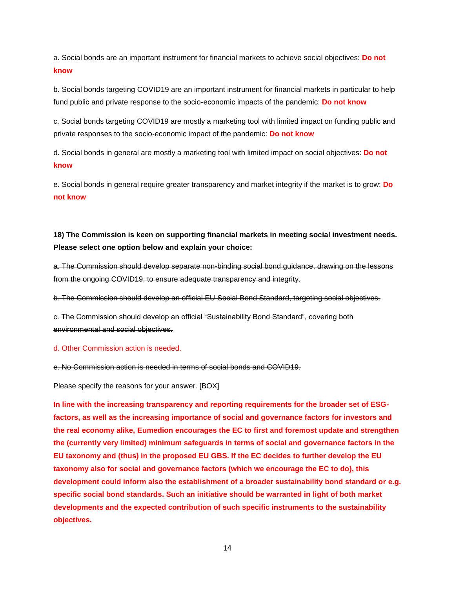a. Social bonds are an important instrument for financial markets to achieve social objectives: **Do not know**

b. Social bonds targeting COVID19 are an important instrument for financial markets in particular to help fund public and private response to the socio-economic impacts of the pandemic: **Do not know**

c. Social bonds targeting COVID19 are mostly a marketing tool with limited impact on funding public and private responses to the socio-economic impact of the pandemic: **Do not know**

d. Social bonds in general are mostly a marketing tool with limited impact on social objectives: **Do not know**

e. Social bonds in general require greater transparency and market integrity if the market is to grow: **Do not know**

# **18) The Commission is keen on supporting financial markets in meeting social investment needs. Please select one option below and explain your choice:**

a. The Commission should develop separate non-binding social bond guidance, drawing on the lessons from the ongoing COVID19, to ensure adequate transparency and integrity.

b. The Commission should develop an official EU Social Bond Standard, targeting social objectives.

c. The Commission should develop an official "Sustainability Bond Standard", covering both environmental and social objectives.

## d. Other Commission action is needed.

e. No Commission action is needed in terms of social bonds and COVID19.

Please specify the reasons for your answer. [BOX]

**In line with the increasing transparency and reporting requirements for the broader set of ESGfactors, as well as the increasing importance of social and governance factors for investors and the real economy alike, Eumedion encourages the EC to first and foremost update and strengthen the (currently very limited) minimum safeguards in terms of social and governance factors in the EU taxonomy and (thus) in the proposed EU GBS. If the EC decides to further develop the EU taxonomy also for social and governance factors (which we encourage the EC to do), this development could inform also the establishment of a broader sustainability bond standard or e.g. specific social bond standards. Such an initiative should be warranted in light of both market developments and the expected contribution of such specific instruments to the sustainability objectives.**